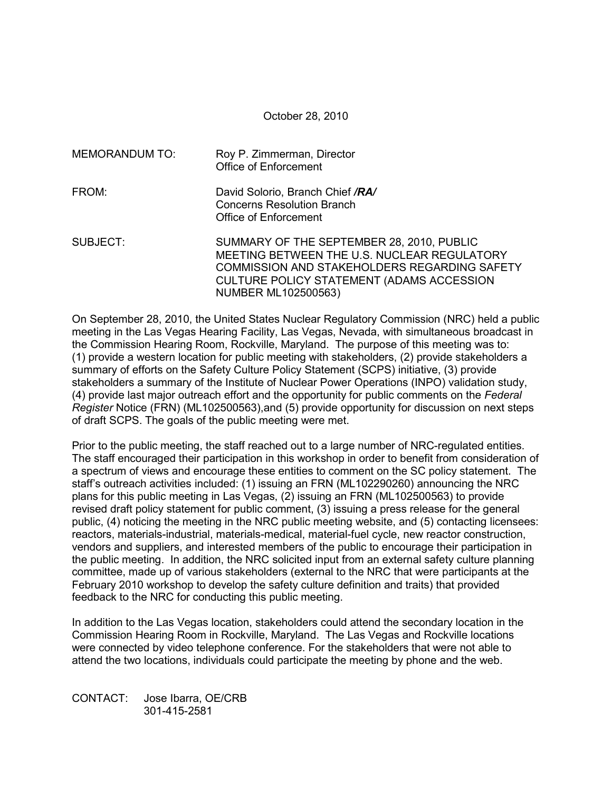October 28, 2010

| <b>MEMORANDUM TO:</b> | Roy P. Zimmerman, Director<br>Office of Enforcement                                                                                                                                                                 |
|-----------------------|---------------------------------------------------------------------------------------------------------------------------------------------------------------------------------------------------------------------|
| FROM:                 | David Solorio, Branch Chief /RA/<br><b>Concerns Resolution Branch</b><br>Office of Enforcement                                                                                                                      |
| SUBJECT:              | SUMMARY OF THE SEPTEMBER 28, 2010, PUBLIC<br>MEETING BETWEEN THE U.S. NUCLEAR REGULATORY<br>COMMISSION AND STAKEHOLDERS REGARDING SAFETY<br>CULTURE POLICY STATEMENT (ADAMS ACCESSION<br><b>NUMBER ML102500563)</b> |

On September 28, 2010, the United States Nuclear Regulatory Commission (NRC) held a public meeting in the Las Vegas Hearing Facility, Las Vegas, Nevada, with simultaneous broadcast in the Commission Hearing Room, Rockville, Maryland. The purpose of this meeting was to: (1) provide a western location for public meeting with stakeholders, (2) provide stakeholders a summary of efforts on the Safety Culture Policy Statement (SCPS) initiative, (3) provide stakeholders a summary of the Institute of Nuclear Power Operations (INPO) validation study, (4) provide last major outreach effort and the opportunity for public comments on the *Federal Register* Notice (FRN) (ML102500563),and (5) provide opportunity for discussion on next steps of draft SCPS. The goals of the public meeting were met.

Prior to the public meeting, the staff reached out to a large number of NRC-regulated entities. The staff encouraged their participation in this workshop in order to benefit from consideration of a spectrum of views and encourage these entities to comment on the SC policy statement. The staff's outreach activities included: (1) issuing an FRN (ML102290260) announcing the NRC plans for this public meeting in Las Vegas, (2) issuing an FRN (ML102500563) to provide revised draft policy statement for public comment, (3) issuing a press release for the general public, (4) noticing the meeting in the NRC public meeting website, and (5) contacting licensees: reactors, materials-industrial, materials-medical, material-fuel cycle, new reactor construction, vendors and suppliers, and interested members of the public to encourage their participation in the public meeting. In addition, the NRC solicited input from an external safety culture planning committee, made up of various stakeholders (external to the NRC that were participants at the February 2010 workshop to develop the safety culture definition and traits) that provided feedback to the NRC for conducting this public meeting.

In addition to the Las Vegas location, stakeholders could attend the secondary location in the Commission Hearing Room in Rockville, Maryland. The Las Vegas and Rockville locations were connected by video telephone conference. For the stakeholders that were not able to attend the two locations, individuals could participate the meeting by phone and the web.

CONTACT: Jose Ibarra, OE/CRB 301-415-2581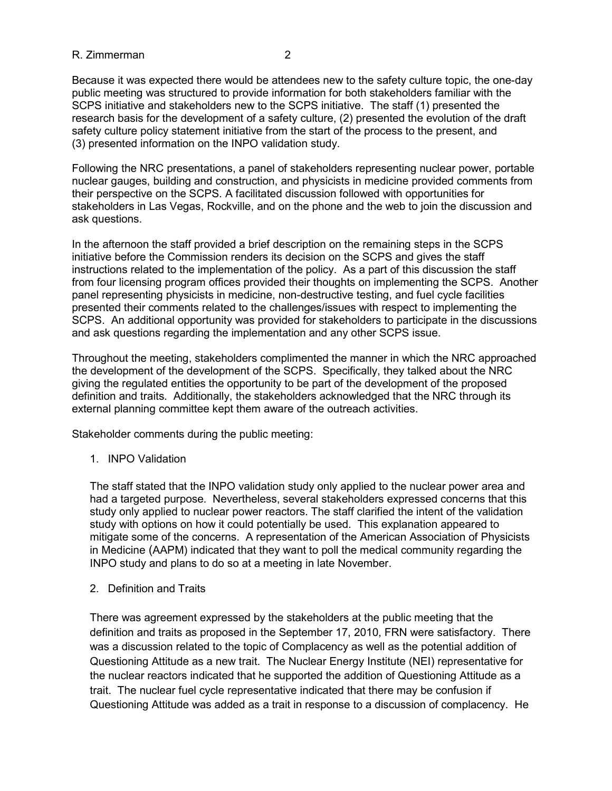Because it was expected there would be attendees new to the safety culture topic, the one-day public meeting was structured to provide information for both stakeholders familiar with the SCPS initiative and stakeholders new to the SCPS initiative. The staff (1) presented the research basis for the development of a safety culture, (2) presented the evolution of the draft safety culture policy statement initiative from the start of the process to the present, and (3) presented information on the INPO validation study.

Following the NRC presentations, a panel of stakeholders representing nuclear power, portable nuclear gauges, building and construction, and physicists in medicine provided comments from their perspective on the SCPS. A facilitated discussion followed with opportunities for stakeholders in Las Vegas, Rockville, and on the phone and the web to join the discussion and ask questions.

In the afternoon the staff provided a brief description on the remaining steps in the SCPS initiative before the Commission renders its decision on the SCPS and gives the staff instructions related to the implementation of the policy. As a part of this discussion the staff from four licensing program offices provided their thoughts on implementing the SCPS. Another panel representing physicists in medicine, non-destructive testing, and fuel cycle facilities presented their comments related to the challenges/issues with respect to implementing the SCPS. An additional opportunity was provided for stakeholders to participate in the discussions and ask questions regarding the implementation and any other SCPS issue.

Throughout the meeting, stakeholders complimented the manner in which the NRC approached the development of the development of the SCPS. Specifically, they talked about the NRC giving the regulated entities the opportunity to be part of the development of the proposed definition and traits. Additionally, the stakeholders acknowledged that the NRC through its external planning committee kept them aware of the outreach activities.

Stakeholder comments during the public meeting:

1. INPO Validation

The staff stated that the INPO validation study only applied to the nuclear power area and had a targeted purpose. Nevertheless, several stakeholders expressed concerns that this study only applied to nuclear power reactors. The staff clarified the intent of the validation study with options on how it could potentially be used. This explanation appeared to mitigate some of the concerns. A representation of the American Association of Physicists in Medicine (AAPM) indicated that they want to poll the medical community regarding the INPO study and plans to do so at a meeting in late November.

2. Definition and Traits

There was agreement expressed by the stakeholders at the public meeting that the definition and traits as proposed in the September 17, 2010, FRN were satisfactory. There was a discussion related to the topic of Complacency as well as the potential addition of Questioning Attitude as a new trait. The Nuclear Energy Institute (NEI) representative for the nuclear reactors indicated that he supported the addition of Questioning Attitude as a trait. The nuclear fuel cycle representative indicated that there may be confusion if Questioning Attitude was added as a trait in response to a discussion of complacency. He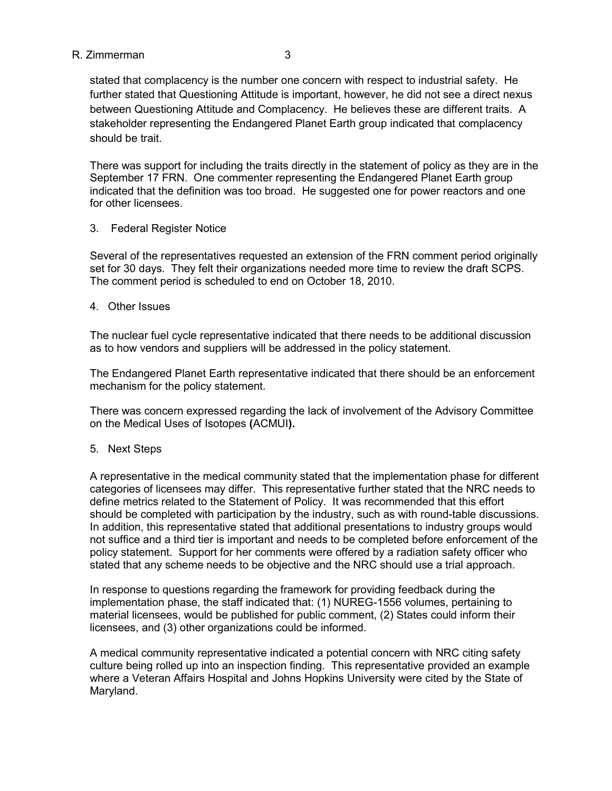stated that complacency is the number one concern with respect to industrial safety. He further stated that Questioning Attitude is important, however, he did not see a direct nexus between Questioning Attitude and Complacency. He believes these are different traits. A stakeholder representing the Endangered Planet Earth group indicated that complacency should be trait.

There was support for including the traits directly in the statement of policy as they are in the September 17 FRN. One commenter representing the Endangered Planet Earth group indicated that the definition was too broad. He suggested one for power reactors and one for other licensees.

## 3. Federal Register Notice

Several of the representatives requested an extension of the FRN comment period originally set for 30 days. They felt their organizations needed more time to review the draft SCPS. The comment period is scheduled to end on October 18, 2010.

4. Other Issues

The nuclear fuel cycle representative indicated that there needs to be additional discussion as to how vendors and suppliers will be addressed in the policy statement.

The Endangered Planet Earth representative indicated that there should be an enforcement mechanism for the policy statement.

There was concern expressed regarding the lack of involvement of the Advisory Committee on the Medical Uses of Isotopes **(**ACMUI**).**

# 5. Next Steps

A representative in the medical community stated that the implementation phase for different categories of licensees may differ. This representative further stated that the NRC needs to define metrics related to the Statement of Policy. It was recommended that this effort should be completed with participation by the industry, such as with round-table discussions. In addition, this representative stated that additional presentations to industry groups would not suffice and a third tier is important and needs to be completed before enforcement of the policy statement. Support for her comments were offered by a radiation safety officer who stated that any scheme needs to be objective and the NRC should use a trial approach.

In response to questions regarding the framework for providing feedback during the implementation phase, the staff indicated that: (1) NUREG-1556 volumes, pertaining to material licensees, would be published for public comment, (2) States could inform their licensees, and (3) other organizations could be informed.

A medical community representative indicated a potential concern with NRC citing safety culture being rolled up into an inspection finding. This representative provided an example where a Veteran Affairs Hospital and Johns Hopkins University were cited by the State of Maryland.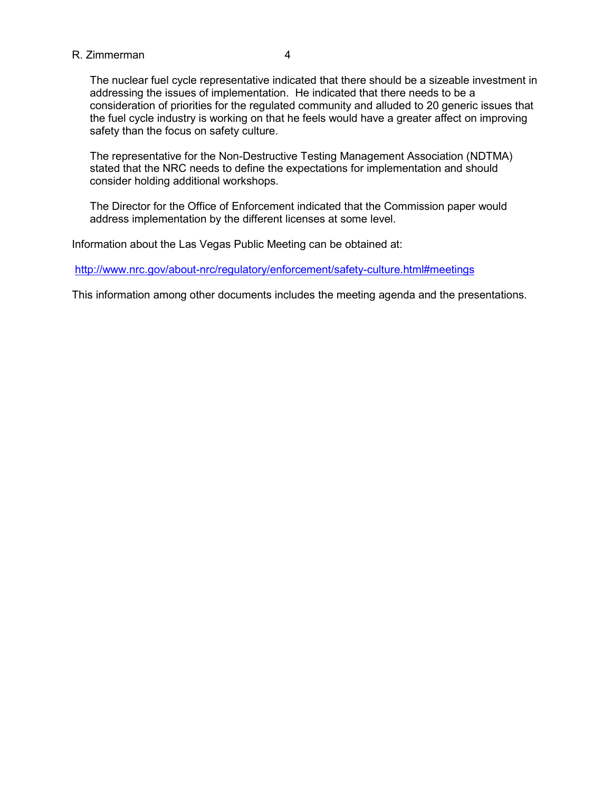The nuclear fuel cycle representative indicated that there should be a sizeable investment in addressing the issues of implementation. He indicated that there needs to be a consideration of priorities for the regulated community and alluded to 20 generic issues that the fuel cycle industry is working on that he feels would have a greater affect on improving safety than the focus on safety culture.

The representative for the Non-Destructive Testing Management Association (NDTMA) stated that the NRC needs to define the expectations for implementation and should consider holding additional workshops.

The Director for the Office of Enforcement indicated that the Commission paper would address implementation by the different licenses at some level.

Information about the Las Vegas Public Meeting can be obtained at:

http://www.nrc.gov/about-nrc/regulatory/enforcement/safety-culture.html#meetings

This information among other documents includes the meeting agenda and the presentations.